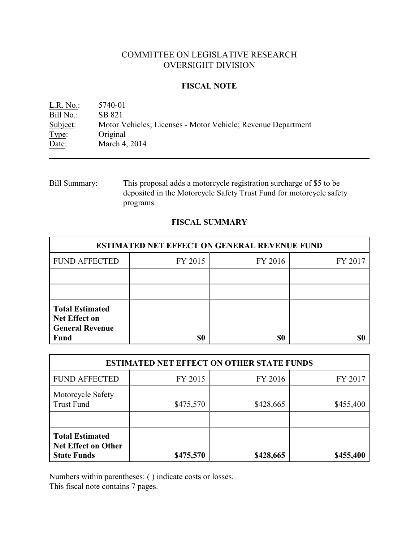# COMMITTEE ON LEGISLATIVE RESEARCH OVERSIGHT DIVISION

### **FISCAL NOTE**

| L.R. No.  | 5740-01                                                      |
|-----------|--------------------------------------------------------------|
| Bill No.: | SB 821                                                       |
| Subject:  | Motor Vehicles; Licenses - Motor Vehicle; Revenue Department |
| Type:     | Original                                                     |
| Date:     | March 4, 2014                                                |

Bill Summary: This proposal adds a motorcycle registration surcharge of \$5 to be deposited in the Motorcycle Safety Trust Fund for motorcycle safety programs.

## **FISCAL SUMMARY**

| <b>ESTIMATED NET EFFECT ON GENERAL REVENUE FUND</b>                                     |         |         |         |  |
|-----------------------------------------------------------------------------------------|---------|---------|---------|--|
| <b>FUND AFFECTED</b>                                                                    | FY 2015 | FY 2016 | FY 2017 |  |
|                                                                                         |         |         |         |  |
|                                                                                         |         |         |         |  |
| <b>Total Estimated</b><br><b>Net Effect on</b><br><b>General Revenue</b><br><b>Fund</b> | \$0     | \$0     |         |  |

| <b>ESTIMATED NET EFFECT ON OTHER STATE FUNDS</b>                           |           |           |           |  |
|----------------------------------------------------------------------------|-----------|-----------|-----------|--|
| <b>FUND AFFECTED</b>                                                       | FY 2015   | FY 2016   | FY 2017   |  |
| Motorcycle Safety<br><b>Trust Fund</b>                                     | \$475,570 | \$428,665 | \$455,400 |  |
| <b>Total Estimated</b><br><b>Net Effect on Other</b><br><b>State Funds</b> | \$475,570 | \$428,665 | \$455,400 |  |

Numbers within parentheses: ( ) indicate costs or losses.

This fiscal note contains 7 pages.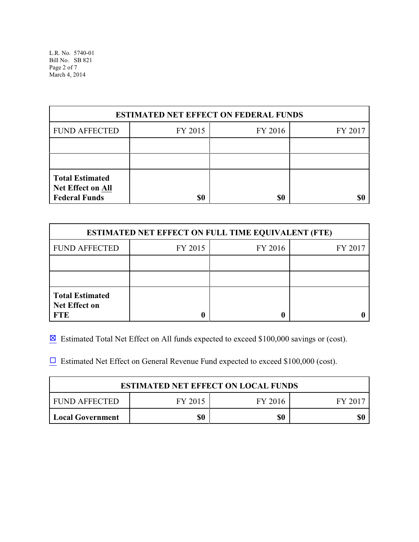L.R. No. 5740-01 Bill No. SB 821 Page 2 of 7 March 4, 2014

| <b>ESTIMATED NET EFFECT ON FEDERAL FUNDS</b>                               |         |         |         |  |
|----------------------------------------------------------------------------|---------|---------|---------|--|
| <b>FUND AFFECTED</b>                                                       | FY 2015 | FY 2016 | FY 2017 |  |
|                                                                            |         |         |         |  |
|                                                                            |         |         |         |  |
| <b>Total Estimated</b><br><b>Net Effect on All</b><br><b>Federal Funds</b> | \$0     | \$0     |         |  |

| <b>ESTIMATED NET EFFECT ON FULL TIME EQUIVALENT (FTE)</b>    |         |         |         |  |
|--------------------------------------------------------------|---------|---------|---------|--|
| <b>FUND AFFECTED</b>                                         | FY 2015 | FY 2016 | FY 2017 |  |
|                                                              |         |         |         |  |
|                                                              |         |         |         |  |
| <b>Total Estimated</b><br><b>Net Effect on</b><br><b>FTE</b> |         |         |         |  |

 $\boxtimes$  Estimated Total Net Effect on All funds expected to exceed \$100,000 savings or (cost).

 $\Box$  Estimated Net Effect on General Revenue Fund expected to exceed \$100,000 (cost).

| <b>ESTIMATED NET EFFECT ON LOCAL FUNDS</b> |         |         |       |
|--------------------------------------------|---------|---------|-------|
| <b>FUND AFFECTED</b>                       | FY 2015 | FY 2016 | FY 20 |
| <b>Local Government</b>                    | \$0     | \$0     | \$0   |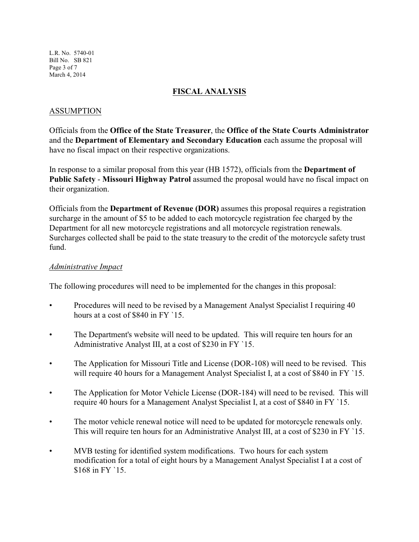L.R. No. 5740-01 Bill No. SB 821 Page 3 of 7 March 4, 2014

#### **FISCAL ANALYSIS**

#### ASSUMPTION

Officials from the **Office of the State Treasurer**, the **Office of the State Courts Administrator** and the **Department of Elementary and Secondary Education** each assume the proposal will have no fiscal impact on their respective organizations.

In response to a similar proposal from this year (HB 1572), officials from the **Department of Public Safety** - **Missouri Highway Patrol** assumed the proposal would have no fiscal impact on their organization.

Officials from the **Department of Revenue (DOR)** assumes this proposal requires a registration surcharge in the amount of \$5 to be added to each motorcycle registration fee charged by the Department for all new motorcycle registrations and all motorcycle registration renewals. Surcharges collected shall be paid to the state treasury to the credit of the motorcycle safety trust fund.

#### *Administrative Impact*

The following procedures will need to be implemented for the changes in this proposal:

- Procedures will need to be revised by a Management Analyst Specialist I requiring 40 hours at a cost of \$840 in FY `15.
- The Department's website will need to be updated. This will require ten hours for an Administrative Analyst III, at a cost of \$230 in FY `15.
- The Application for Missouri Title and License (DOR-108) will need to be revised. This will require 40 hours for a Management Analyst Specialist I, at a cost of \$840 in FY `15.
- The Application for Motor Vehicle License (DOR-184) will need to be revised. This will require 40 hours for a Management Analyst Specialist I, at a cost of \$840 in FY `15.
- The motor vehicle renewal notice will need to be updated for motorcycle renewals only. This will require ten hours for an Administrative Analyst III, at a cost of \$230 in FY `15.
- MVB testing for identified system modifications. Two hours for each system modification for a total of eight hours by a Management Analyst Specialist I at a cost of \$168 in FY `15.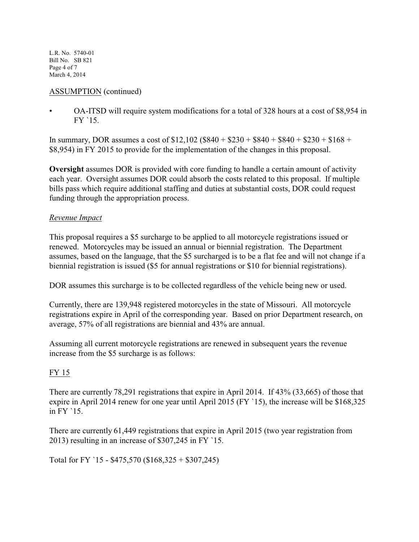L.R. No. 5740-01 Bill No. SB 821 Page 4 of 7 March 4, 2014

### ASSUMPTION (continued)

• OA-ITSD will require system modifications for a total of 328 hours at a cost of \$8,954 in FY `15.

In summary, DOR assumes a cost of  $$12,102$  (\$840 + \$230 + \$840 + \$840 + \$230 + \$168 + \$8,954) in FY 2015 to provide for the implementation of the changes in this proposal.

**Oversight** assumes DOR is provided with core funding to handle a certain amount of activity each year. Oversight assumes DOR could absorb the costs related to this proposal. If multiple bills pass which require additional staffing and duties at substantial costs, DOR could request funding through the appropriation process.

#### *Revenue Impact*

This proposal requires a \$5 surcharge to be applied to all motorcycle registrations issued or renewed. Motorcycles may be issued an annual or biennial registration. The Department assumes, based on the language, that the \$5 surcharged is to be a flat fee and will not change if a biennial registration is issued (\$5 for annual registrations or \$10 for biennial registrations).

DOR assumes this surcharge is to be collected regardless of the vehicle being new or used.

Currently, there are 139,948 registered motorcycles in the state of Missouri. All motorcycle registrations expire in April of the corresponding year. Based on prior Department research, on average, 57% of all registrations are biennial and 43% are annual.

Assuming all current motorcycle registrations are renewed in subsequent years the revenue increase from the \$5 surcharge is as follows:

## FY 15

There are currently 78,291 registrations that expire in April 2014. If 43% (33,665) of those that expire in April 2014 renew for one year until April 2015 (FY `15), the increase will be \$168,325 in FY `15.

There are currently 61,449 registrations that expire in April 2015 (two year registration from 2013) resulting in an increase of \$307,245 in FY `15.

Total for FY `15 - \$475,570 (\$168,325 + \$307,245)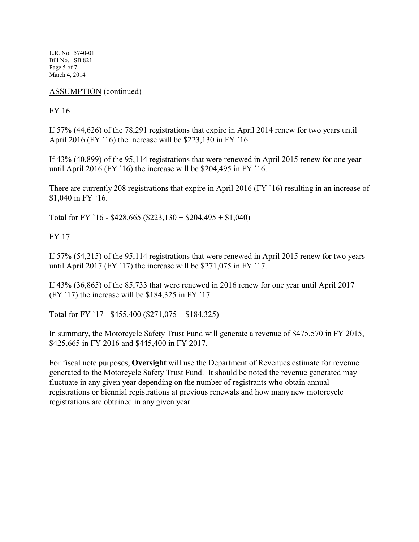L.R. No. 5740-01 Bill No. SB 821 Page 5 of 7 March 4, 2014

ASSUMPTION (continued)

# FY 16

If 57% (44,626) of the 78,291 registrations that expire in April 2014 renew for two years until April 2016 (FY `16) the increase will be \$223,130 in FY `16.

If 43% (40,899) of the 95,114 registrations that were renewed in April 2015 renew for one year until April 2016 (FY `16) the increase will be \$204,495 in FY `16.

There are currently 208 registrations that expire in April 2016 (FY `16) resulting in an increase of \$1,040 in FY `16.

Total for FY `16 - \$428,665 (\$223,130 + \$204,495 + \$1,040)

# FY 17

If 57% (54,215) of the 95,114 registrations that were renewed in April 2015 renew for two years until April 2017 (FY `17) the increase will be \$271,075 in FY `17.

If 43% (36,865) of the 85,733 that were renewed in 2016 renew for one year until April 2017 (FY `17) the increase will be \$184,325 in FY `17.

Total for FY `17 - \$455,400 (\$271,075 + \$184,325)

In summary, the Motorcycle Safety Trust Fund will generate a revenue of \$475,570 in FY 2015, \$425,665 in FY 2016 and \$445,400 in FY 2017.

For fiscal note purposes, **Oversight** will use the Department of Revenues estimate for revenue generated to the Motorcycle Safety Trust Fund. It should be noted the revenue generated may fluctuate in any given year depending on the number of registrants who obtain annual registrations or biennial registrations at previous renewals and how many new motorcycle registrations are obtained in any given year.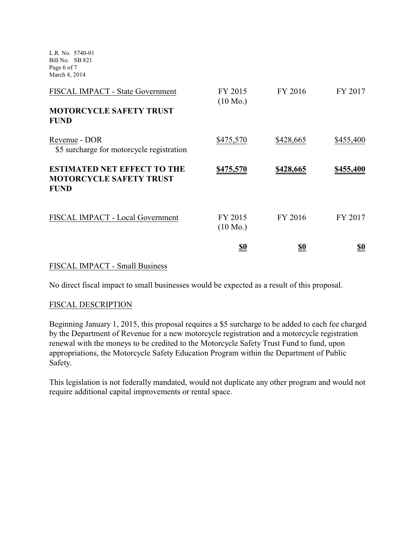L.R. No. 5740-01 Bill No. SB 821 Page 6 of 7 March 4, 2014

|                                                                                     | <u>\$0</u>                    | <u>\$0</u> | <u>\$0</u> |
|-------------------------------------------------------------------------------------|-------------------------------|------------|------------|
| FISCAL IMPACT - Local Government                                                    | FY 2015<br>$(10 \text{ Mo.})$ | FY 2016    | FY 2017    |
| <b>ESTIMATED NET EFFECT TO THE</b><br><b>MOTORCYCLE SAFETY TRUST</b><br><b>FUND</b> | \$475,570                     | \$428,665  | \$455,400  |
| Revenue - DOR<br>\$5 surcharge for motorcycle registration                          | \$475,570                     | \$428,665  | \$455,400  |
| <b>MOTORCYCLE SAFETY TRUST</b><br><b>FUND</b>                                       |                               |            |            |
| <b>FISCAL IMPACT - State Government</b>                                             | FY 2015<br>$(10 \text{ Mo.})$ | FY 2016    | FY 2017    |

### FISCAL IMPACT - Small Business

No direct fiscal impact to small businesses would be expected as a result of this proposal.

#### FISCAL DESCRIPTION

Beginning January 1, 2015, this proposal requires a \$5 surcharge to be added to each fee charged by the Department of Revenue for a new motorcycle registration and a motorcycle registration renewal with the moneys to be credited to the Motorcycle Safety Trust Fund to fund, upon appropriations, the Motorcycle Safety Education Program within the Department of Public Safety.

This legislation is not federally mandated, would not duplicate any other program and would not require additional capital improvements or rental space.